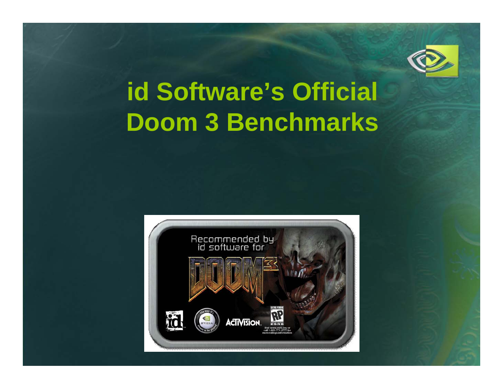

# **id Software's Official Doom 3 Benchmarks**

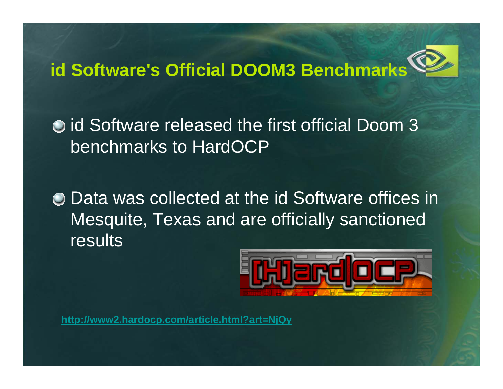# **id Software's Official DOOM3 Benchmarks**

**O** id Software released the first official Doom 3 benchmarks to HardOCP

Data was collected at the id Software offices in Mesquite, Texas and are officially sanctioned results



**http://www2.hardocp.com/article.html?art=NjQy**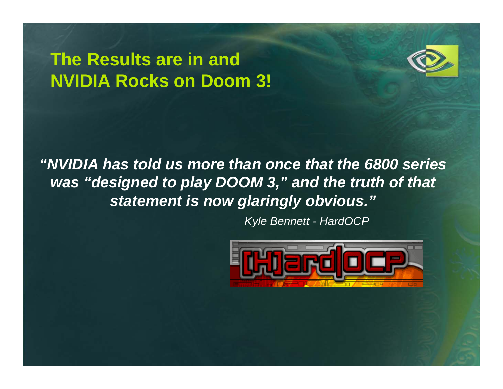## **The Results are in and NVIDIA Rocks on Doom 3!**



*"NVIDIA has told us more than once that the 6800 series was "designed to play DOOM 3," and the truth of that statement is now glaringly obvious."*

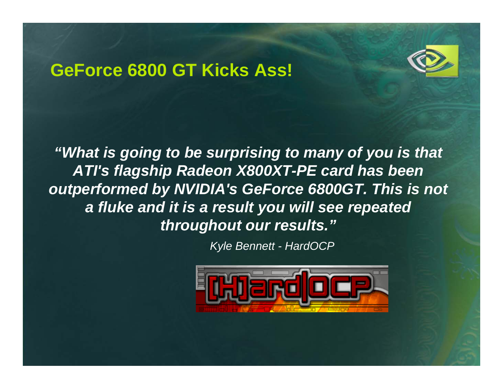#### **GeForce 6800 GT Kicks Ass!**



*"What is going to be surprising to many of you is that ATI's flagship Radeon X800XT-PE card has been*  **outperformed by NVIDIA's GeForce 6800GT. This is not** *a fluke and it is a result you will see repeated throughout our results."*

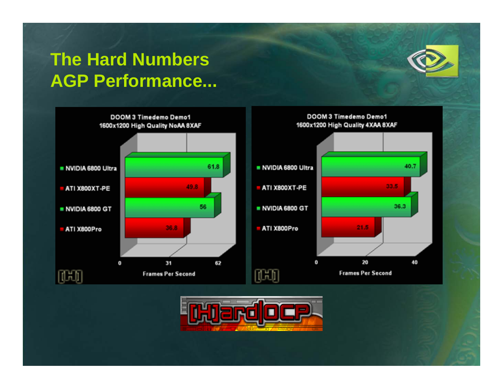# **The Hard Numbers AGP Performance...**





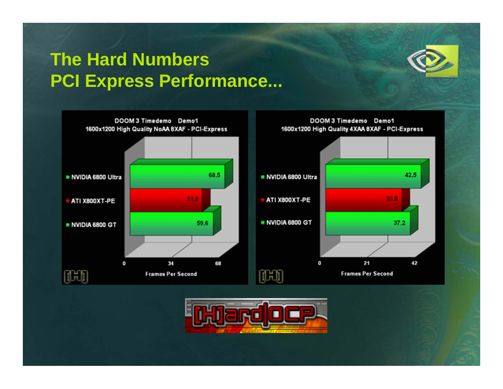## **The Hard Numbers PCI Express Performance...**





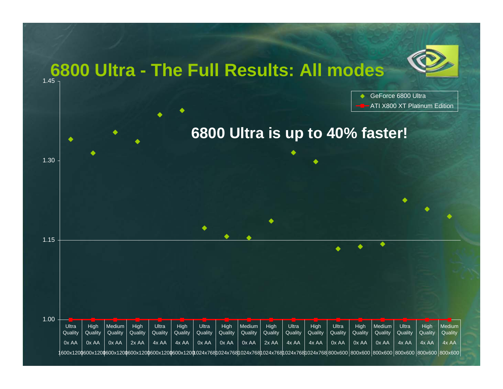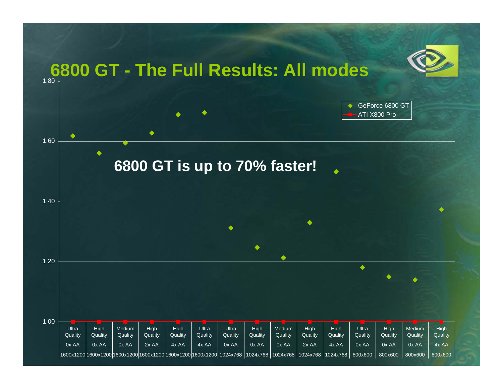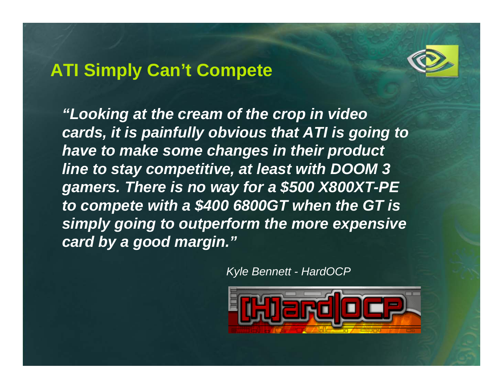## **ATI Simply Can't Compete**



*"Looking at the cream of the crop in video cards, it is painfully obvious that ATI is going to have to make some changes in their product line to stay competitive, at least with DOOM 3 gamers. There is no way for a \$500 X800XT-PE to compete with a \$400 6800GT when the GT is simply going to outperform the more expensive card by a good margin."*